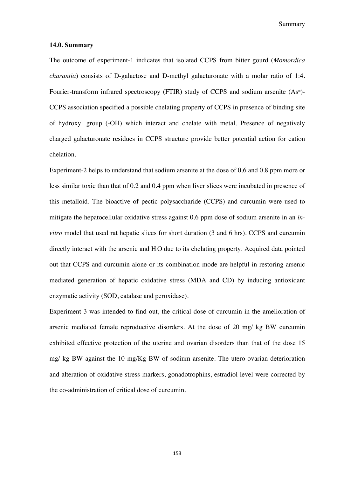Summary

## **14.0. Summary**

The outcome of experiment-1 indicates that isolated CCPS from bitter gourd (*Momordica charantia*) consists of D-galactose and D-methyl galacturonate with a molar ratio of 1:4. Fourier-transform infrared spectroscopy (FTIR) study of CCPS and sodium arsenite  $(As<sup>m</sup>)$ -CCPS association specified a possible chelating property of CCPS in presence of binding site of hydroxyl group (-OH) which interact and chelate with metal. Presence of negatively charged galacturonate residues in CCPS structure provide better potential action for cation chelation.

Experiment-2 helps to understand that sodium arsenite at the dose of 0.6 and 0.8 ppm more or less similar toxic than that of 0.2 and 0.4 ppm when liver slices were incubated in presence of this metalloid. The bioactive of pectic polysaccharide (CCPS) and curcumin were used to mitigate the hepatocellular oxidative stress against 0.6 ppm dose of sodium arsenite in an *invitro* model that used rat hepatic slices for short duration (3 and 6 hrs). CCPS and curcumin directly interact with the arsenic and  $H_2O_2$  due to its chelating property. Acquired data pointed out that CCPS and curcumin alone or its combination mode are helpful in restoring arsenic mediated generation of hepatic oxidative stress (MDA and CD) by inducing antioxidant enzymatic activity (SOD, catalase and peroxidase).

Experiment 3 was intended to find out, the critical dose of curcumin in the amelioration of arsenic mediated female reproductive disorders. At the dose of 20 mg/ kg BW curcumin exhibited effective protection of the uterine and ovarian disorders than that of the dose 15 mg/ kg BW against the 10 mg/Kg BW of sodium arsenite. The utero-ovarian deterioration and alteration of oxidative stress markers, gonadotrophins, estradiol level were corrected by the co-administration of critical dose of curcumin.

153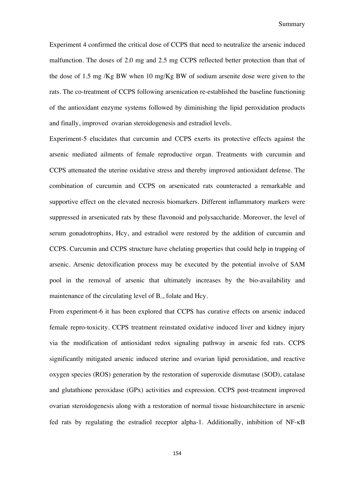Experiment 4 confirmed the critical dose of CCPS that need to neutralize the arsenic induced malfunction. The doses of 2.0 mg and 2.5 mg CCPS reflected better protection than that of the dose of 1.5 mg /Kg BW when 10 mg/Kg BW of sodium arsenite dose were given to the rats. The co-treatment of CCPS following arsenication re-established the baseline functioning of the antioxidant enzyme systems followed by diminishing the lipid peroxidation products and finally, improved ovarian steroidogenesis and estradiol levels.

Experiment-5 elucidates that curcumin and CCPS exerts its protective effects against the arsenic mediated ailments of female reproductive organ. Treatments with curcumin and CCPS attenuated the uterine oxidative stress and thereby improved antioxidant defense. The combination of curcumin and CCPS on arsenicated rats counteracted a remarkable and supportive effect on the elevated necrosis biomarkers. Different inflammatory markers were suppressed in arsenicated rats by these flavonoid and polysaccharide. Moreover, the level of serum gonadotrophins, Hcy, and estradiol were restored by the addition of curcumin and CCPS. Curcumin and CCPS structure have chelating properties that could help in trapping of arsenic. Arsenic detoxification process may be executed by the potential involve of SAM pool in the removal of arsenic that ultimately increases by the bio-availability and maintenance of the circulating level of  $B_{12}$ , folate and Hcy.

From experiment-6 it has been explored that CCPS has curative effects on arsenic induced female repro-toxicity. CCPS treatment reinstated oxidative induced liver and kidney injury via the modification of antioxidant redox signaling pathway in arsenic fed rats. CCPS significantly mitigated arsenic induced uterine and ovarian lipid peroxidation, and reactive oxygen species (ROS) generation by the restoration of superoxide dismutase (SOD), catalase and glutathione peroxidase (GPx) activities and expression. CCPS post-treatment improved ovarian steroidogenesis along with a restoration of normal tissue histoarchitecture in arsenic fed rats by regulating the estradiol receptor alpha-1. Additionally, inhibition of NF-kB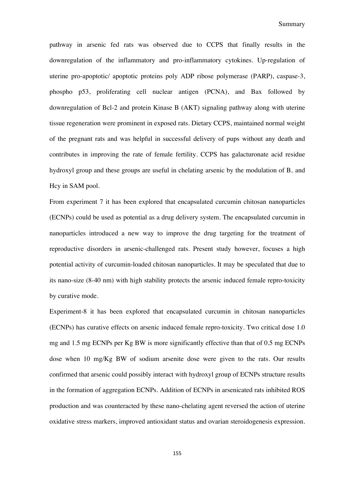pathway in arsenic fed rats was observed due to CCPS that finally results in the downregulation of the inflammatory and pro-inflammatory cytokines. Up-regulation of uterine pro-apoptotic/ apoptotic proteins poly ADP ribose polymerase (PARP), caspase-3, phospho p53, proliferating cell nuclear antigen (PCNA), and Bax followed by downregulation of Bcl-2 and protein Kinase B (AKT) signaling pathway along with uterine tissue regeneration were prominent in exposed rats. Dietary CCPS, maintained normal weight of the pregnant rats and was helpful in successful delivery of pups without any death and contributes in improving the rate of female fertility. CCPS has galacturonate acid residue hydroxyl group and these groups are useful in chelating arsenic by the modulation of  $B<sub>12</sub>$  and Hcy in SAM pool.

From experiment 7 it has been explored that encapsulated curcumin chitosan nanoparticles (ECNPs) could be used as potential as a drug delivery system. The encapsulated curcumin in nanoparticles introduced a new way to improve the drug targeting for the treatment of reproductive disorders in arsenic-challenged rats. Present study however, focuses a high potential activity of curcumin-loaded chitosan nanoparticles. It may be speculated that due to its nano-size (8-40 nm) with high stability protects the arsenic induced female repro-toxicity by curative mode.

Experiment-8 it has been explored that encapsulated curcumin in chitosan nanoparticles (ECNPs) has curative effects on arsenic induced female repro-toxicity. Two critical dose 1.0 mg and 1.5 mg ECNPs per Kg BW is more significantly effective than that of 0.5 mg ECNPs dose when 10 mg/Kg BW of sodium arsenite dose were given to the rats. Our results confirmed that arsenic could possibly interact with hydroxyl group of ECNPs structure results in the formation of aggregation ECNPs. Addition of ECNPs in arsenicated rats inhibited ROS production and was counteracted by these nano-chelating agent reversed the action of uterine oxidative stress markers, improved antioxidant status and ovarian steroidogenesis expression.

155